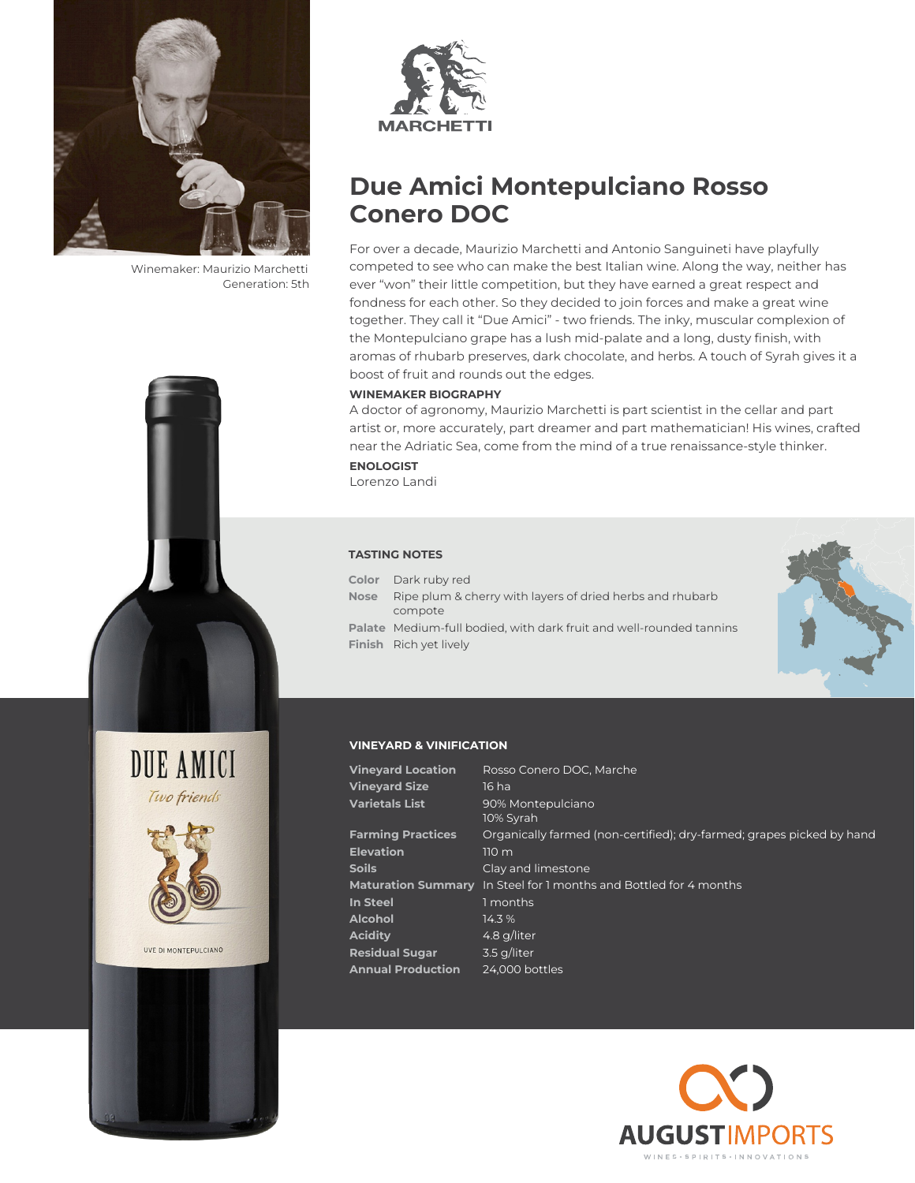

Winemaker: Maurizio Marchetti Generation: 5th



# **Due Amici Montepulciano Rosso Conero DOC**

For over a decade, Maurizio Marchetti and Antonio Sanguineti have playfully competed to see who can make the best Italian wine. Along the way, neither has ever "won" their little competition, but they have earned a great respect and fondness for each other. So they decided to join forces and make a great wine together. They call it "Due Amici" - two friends. The inky, muscular complexion of the Montepulciano grape has a lush mid-palate and a long, dusty finish, with aromas of rhubarb preserves, dark chocolate, and herbs. A touch of Syrah gives it a boost of fruit and rounds out the edges.

## **WINEMAKER BIOGRAPHY**

A doctor of agronomy, Maurizio Marchetti is part scientist in the cellar and part artist or, more accurately, part dreamer and part mathematician! His wines, crafted near the Adriatic Sea, come from the mind of a true renaissance-style thinker.

**ENOLOGIST** Lorenzo Landi

### **TASTING NOTES**

- **Color** Dark ruby red
- **Nose** Ripe plum & cherry with layers of dried herbs and rhubarb compote
- **Palate** Medium-full bodied, with dark fruit and well-rounded tannins **Finish** Rich yet lively



## **VINEYARD & VINIFICATION**

| <b>Vineyard Location</b> | Rosso Conero DOC, Marche                                              |
|--------------------------|-----------------------------------------------------------------------|
| <b>Vineyard Size</b>     | 16 ha                                                                 |
| <b>Varietals List</b>    | 90% Montepulciano<br>10% Syrah                                        |
| <b>Farming Practices</b> | Organically farmed (non-certified); dry-farmed; grapes picked by hand |
| <b>Elevation</b>         | 110 <sub>m</sub>                                                      |
| <b>Soils</b>             | Clay and limestone                                                    |
|                          | Maturation Summary In Steel for 1 months and Bottled for 4 months     |
| In Steel                 | 1 months                                                              |
| <b>Alcohol</b>           | 14.3 %                                                                |
| <b>Acidity</b>           | 4.8 g/liter                                                           |
| <b>Residual Sugar</b>    | 3.5 g/liter                                                           |
| <b>Annual Production</b> | 24,000 bottles                                                        |





UVE DI MONTEPULCIANO